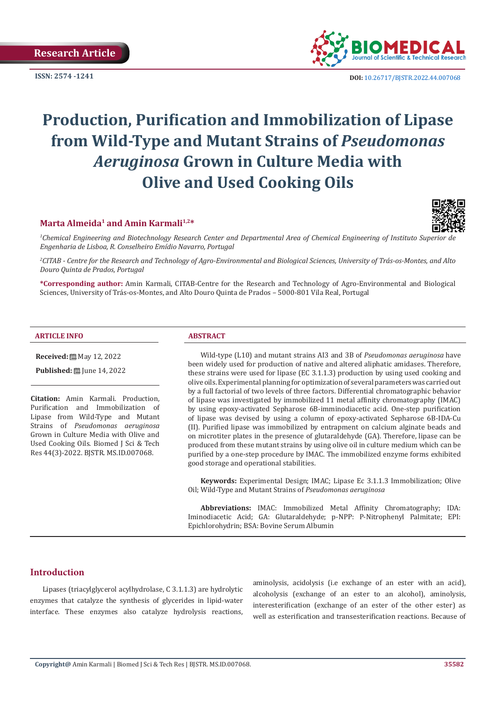**Research Article**



**ISSN:** 2574 -1241 **DOI:** [10.26717/BJSTR.2022.44.007068](https://dx.doi.org/10.26717/BJSTR.2022.44.007068)

# **Production, Purification and Immobilization of Lipase from Wild-Type and Mutant Strains of** *Pseudomonas Aeruginosa* **Grown in Culture Media with Olive and Used Cooking Oils**

# **Marta Almeida<sup>1</sup> and Amin Karmali1,2\***



*1 Chemical Engineering and Biotechnology Research Center and Departmental Area of Chemical Engineering of Instituto Superior de Engenharia de Lisboa, R. Conselheiro Emídio Navarro, Portugal*

*2 CITAB - Centre for the Research and Technology of Agro-Environmental and Biological Sciences, University of Trás-os-Montes, and Alto Douro Quinta de Prados, Portugal*

**\*Corresponding author:** Amin Karmali, CITAB-Centre for the Research and Technology of Agro-Environmental and Biological Sciences, University of Trás-os-Montes, and Alto Douro Quinta de Prados – 5000-801 Vila Real, Portugal

#### **ARTICLE INFO ABSTRACT**

**Received:** 圖 May 12, 2022

**Published:** ■ June 14, 2022

**Citation:** Amin Karmali. Production, Purification and Immobilization of Lipase from Wild-Type and Mutant Strains of *Pseudomonas aeruginosa* Grown in Culture Media with Olive and Used Cooking Oils. Biomed J Sci & Tech Res 44(3)-2022. BJSTR. MS.ID.007068.

Wild-type (L10) and mutant strains AI3 and 3B of *Pseudomonas aeruginosa* have been widely used for production of native and altered aliphatic amidases. Therefore, these strains were used for lipase (EC 3.1.1.3) production by using used cooking and olive oils. Experimental planning for optimization of several parameters was carried out by a full factorial of two levels of three factors. Differential chromatographic behavior of lipase was investigated by immobilized 11 metal affinity chromatography (IMAC) by using epoxy-activated Sepharose 6B-imminodiacetic acid. One-step purification of lipase was devised by using a column of epoxy-activated Sepharose 6B-IDA-Cu (II). Purified lipase was immobilized by entrapment on calcium alginate beads and on microtiter plates in the presence of glutaraldehyde (GA). Therefore, lipase can be produced from these mutant strains by using olive oil in culture medium which can be purified by a one-step procedure by IMAC. The immobilized enzyme forms exhibited good storage and operational stabilities.

**Keywords:** Experimental Design; IMAC; Lipase Ec 3.1.1.3 Immobilization; Olive Oil; Wild-Type and Mutant Strains of *Pseudomonas aeruginosa*

**Abbreviations:** IMAC: Immobilized Metal Affinity Chromatography; IDA: Iminodiacetic Acid; GA: Glutaraldehyde; p-NPP: P-Nitrophenyl Palmitate; EPI: Epichlorohydrin; BSA: Bovine Serum Albumin

# **Introduction**

Lipases (triacylglycerol acylhydrolase, C 3.1.1.3) are hydrolytic enzymes that catalyze the synthesis of glycerides in lipid-water interface. These enzymes also catalyze hydrolysis reactions,

aminolysis, acidolysis (i.e exchange of an ester with an acid), alcoholysis (exchange of an ester to an alcohol), aminolysis, interesterification (exchange of an ester of the other ester) as well as esterification and transesterification reactions. Because of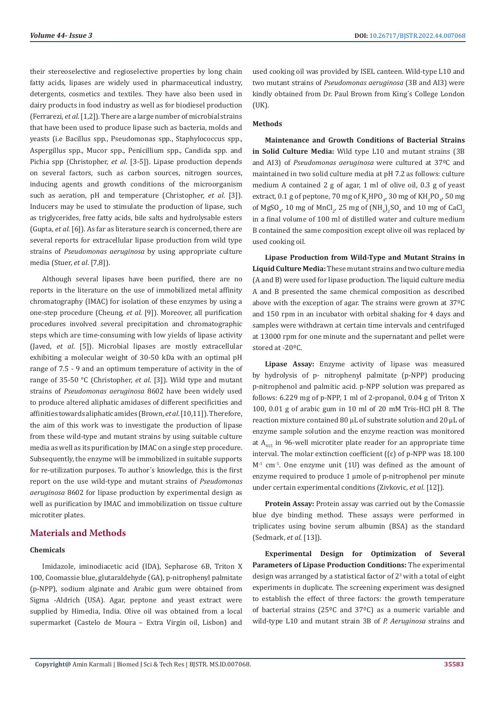their stereoselective and regioselective properties by long chain fatty acids, lipases are widely used in pharmaceutical industry, detergents, cosmetics and textiles. They have also been used in dairy products in food industry as well as for biodiesel production (Ferrarezi, *et al*. [1,2]). There are a large number of microbial strains that have been used to produce lipase such as bacteria, molds and yeasts (i.e Bacillus spp., Pseudomonas spp., Staphylococcus spp., Aspergillus spp., Mucor spp., Penicillium spp., Candida spp. and Pichia spp (Christopher, *et al*. [3-5]). Lipase production depends on several factors, such as carbon sources, nitrogen sources, inducing agents and growth conditions of the microorganism such as aeration, pH and temperature (Christopher, *et al*. [3]). Inducers may be used to stimulate the production of lipase, such as triglycerides, free fatty acids, bile salts and hydrolysable esters (Gupta, *et al*. [6]). As far as literature search is concerned, there are several reports for extracellular lipase production from wild type strains of *Pseudomonas aeruginosa* by using appropriate culture media (Stuer, *et al*. [7,8]).

Although several lipases have been purified, there are no reports in the literature on the use of immobilized metal affinity chromatography (IMAC) for isolation of these enzymes by using a one-step procedure (Cheung, *et al*. [9]). Moreover, all purification procedures involved several precipitation and chromatographic steps which are time-consuming with low yields of lipase activity (Javed, *et al*. [5]). Microbial lipases are mostly extracellular exhibiting a molecular weight of 30-50 kDa with an optimal pH range of 7.5 - 9 and an optimum temperature of activity in the of range of 35-50 °C (Christopher, *et al*. [3]). Wild type and mutant strains of *Pseudomonas aeruginosa* 8602 have been widely used to produce altered aliphatic amidases of different specificities and affinities towards aliphatic amides (Brown, *et al*. [10,11]). Therefore, the aim of this work was to investigate the production of lipase from these wild-type and mutant strains by using suitable culture media as well as its purification by IMAC on a single step procedure. Subsequently, the enzyme will be immobilized in suitable supports for re-utilization purposes. To author´s knowledge, this is the first report on the use wild-type and mutant strains of *Pseudomonas aeruginosa* 8602 for lipase production by experimental design as well as purification by IMAC and immobilization on tissue culture microtiter plates.

# **Materials and Methods**

#### **Chemicals**

Imidazole, iminodiacetic acid (IDA), Sepharose 6B, Triton X 100, Coomassie blue, glutaraldehyde (GA), p-nitrophenyl palmitate (p-NPP), sodium alginate and Arabic gum were obtained from Sigma -Aldrich (USA). Agar, peptone and yeast extract were supplied by Himedia, India. Olive oil was obtained from a local supermarket (Castelo de Moura – Extra Virgin oil, Lisbon) and used cooking oil was provided by ISEL canteen. Wild-type L10 and two mutant strains of *Pseudomonas aeruginosa* (3B and AI3) were kindly obtained from Dr. Paul Brown from King´s College London (UK).

## **Methods**

**Maintenance and Growth Conditions of Bacterial Strains in Solid Culture Media:** Wild type L10 and mutant strains (3B and AI3) of *Pseudomonas aeruginosa* were cultured at 37ºC and maintained in two solid culture media at pH 7.2 as follows: culture medium A contained 2 g of agar, 1 ml of olive oil, 0.3 g of yeast extract, 0.1 g of peptone, 70 mg of  $K_2 HPO_{4}$ , 30 mg of  $KH_2PO_{4}$ , 50 mg of MgSO<sub>4</sub>, 10 mg of MnCl<sub>2</sub>, 25 mg of  $(NH_4)_2$ SO<sub>4</sub> and 10 mg of CaCl<sub>2</sub> in a final volume of 100 ml of distilled water and culture medium B contained the same composition except olive oil was replaced by used cooking oil.

**Lipase Production from Wild-Type and Mutant Strains in Liquid Culture Media:** These mutant strains and two culture media (A and B) were used for lipase production. The liquid culture media A and B presented the same chemical composition as described above with the exception of agar. The strains were grown at 37ºC and 150 rpm in an incubator with orbital shaking for 4 days and samples were withdrawn at certain time intervals and centrifuged at 13000 rpm for one minute and the supernatant and pellet were stored at -20ºC.

**Lipase Assay:** Enzyme activity of lipase was measured by hydrolysis of p- nitrophenyl palmitate (p-NPP) producing p-nitrophenol and palmitic acid. p-NPP solution was prepared as follows: 6.229 mg of p-NPP, 1 ml of 2-propanol, 0.04 g of Triton X 100, 0.01 g of arabic gum in 10 ml of 20 mM Tris-HCl pH 8. The reaction mixture contained 80 μL of substrate solution and 20 μL of enzyme sample solution and the enzyme reaction was monitored at  $A_{415}$  in 96-well microtiter plate reader for an appropriate time interval. The molar extinction coefficient  $({\epsilon})$  of p-NPP was 18.100  $M<sup>1</sup>$  cm<sup>-1</sup>. One enzyme unit (1U) was defined as the amount of enzyme required to produce 1 μmole of p-nitrophenol per minute under certain experimental conditions (Zivkovic, *et al*. [12]).

**Protein Assay:** Protein assay was carried out by the Comassie blue dye binding method. These assays were performed in triplicates using bovine serum albumin (BSA) as the standard (Sedmark, *et al*. [13]).

**Experimental Design for Optimization of Several Parameters of Lipase Production Conditions:** The experimental design was arranged by a statistical factor of  $2<sup>3</sup>$  with a total of eight experiments in duplicate. The screening experiment was designed to establish the effect of three factors: the growth temperature of bacterial strains (25 $^{\circ}$ C and 37 $^{\circ}$ C) as a numeric variable and wild-type L10 and mutant strain 3B of *P. Aeruginosa* strains and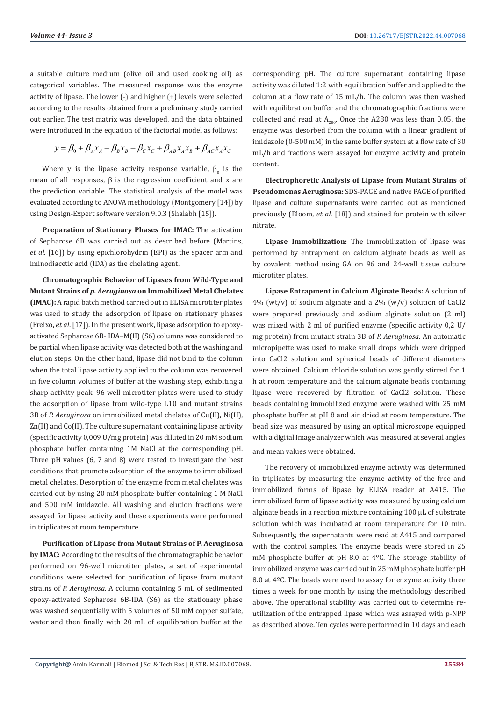a suitable culture medium (olive oil and used cooking oil) as categorical variables. The measured response was the enzyme activity of lipase. The lower (-) and higher (+) levels were selected according to the results obtained from a preliminary study carried out earlier. The test matrix was developed, and the data obtained were introduced in the equation of the factorial model as follows:

$$
y = \beta_0 + \beta_A x_A + \beta_B x_B + \beta_C x_C + \beta_{AB} x_A x_B + \beta_{AC} x_A x_C
$$

Where y is the lipase activity response variable,  $\beta_0$  is the mean of all responses,  $β$  is the regression coefficient and x are the prediction variable. The statistical analysis of the model was evaluated according to ANOVA methodology (Montgomery [14]) by using Design-Expert software version 9.0.3 (Shalabh [15]).

**Preparation of Stationary Phases for IMAC:** The activation of Sepharose 6B was carried out as described before (Martins, *et al*. [16]) by using epichlorohydrin (EPI) as the spacer arm and iminodiacetic acid (IDA) as the chelating agent.

**Chromatographic Behavior of Lipases from Wild-Type and Mutant Strains of** *p. Aeruginosa* **on Immobilized Metal Chelates (IMAC):** A rapid batch method carried out in ELISA microtiter plates was used to study the adsorption of lipase on stationary phases (Freixo, *et al*. [17]). In the present work, lipase adsorption to epoxyactivated Sepharose 6B- IDA–M(II) (S6) columns was considered to be partial when lipase activity was detected both at the washing and elution steps. On the other hand, lipase did not bind to the column when the total lipase activity applied to the column was recovered in five column volumes of buffer at the washing step, exhibiting a sharp activity peak. 96-well microtiter plates were used to study the adsorption of lipase from wild-type L10 and mutant strains 3B of *P. Aeruginosa* on immobilized metal chelates of Cu(II), Ni(II), Zn(II) and Co(II). The culture supernatant containing lipase activity (specific activity 0,009 U/mg protein) was diluted in 20 mM sodium phosphate buffer containing 1M NaCl at the corresponding pH. Three pH values (6, 7 and 8) were tested to investigate the best conditions that promote adsorption of the enzyme to immobilized metal chelates. Desorption of the enzyme from metal chelates was carried out by using 20 mM phosphate buffer containing 1 M NaCl and 500 mM imidazole. All washing and elution fractions were assayed for lipase activity and these experiments were performed in triplicates at room temperature.

**Purification of Lipase from Mutant Strains of P. Aeruginosa by IMAC:** According to the results of the chromatographic behavior performed on 96-well microtiter plates, a set of experimental conditions were selected for purification of lipase from mutant strains of *P. Aeruginosa*. A column containing 5 mL of sedimented epoxy-activated Sepharose 6B-IDA (S6) as the stationary phase was washed sequentially with 5 volumes of 50 mM copper sulfate, water and then finally with 20 mL of equilibration buffer at the

corresponding pH. The culture supernatant containing lipase activity was diluted 1:2 with equilibration buffer and applied to the column at a flow rate of 15 mL/h. The column was then washed with equilibration buffer and the chromatographic fractions were collected and read at  $A_{280}$ . Once the A280 was less than 0.05, the enzyme was desorbed from the column with a linear gradient of imidazole (0-500 mM) in the same buffer system at a flow rate of 30 mL/h and fractions were assayed for enzyme activity and protein content.

**Electrophoretic Analysis of Lipase from Mutant Strains of Pseudomonas Aeruginosa:** SDS-PAGE and native PAGE of purified lipase and culture supernatants were carried out as mentioned previously (Bloom, *et al*. [18]) and stained for protein with silver nitrate.

**Lipase Immobilization:** The immobilization of lipase was performed by entrapment on calcium alginate beads as well as by covalent method using GA on 96 and 24-well tissue culture microtiter plates.

**Lipase Entrapment in Calcium Alginate Beads:** A solution of  $4\%$  (wt/v) of sodium alginate and a 2% (w/v) solution of CaCl2 were prepared previously and sodium alginate solution (2 ml) was mixed with 2 ml of purified enzyme (specific activity 0,2 U/ mg protein) from mutant strain 3B of *P. Aeruginosa*. An automatic micropipette was used to make small drops which were dripped into CaCl2 solution and spherical beads of different diameters were obtained. Calcium chloride solution was gently stirred for 1 h at room temperature and the calcium alginate beads containing lipase were recovered by filtration of CaCl2 solution. These beads containing immobilized enzyme were washed with 25 mM phosphate buffer at pH 8 and air dried at room temperature. The bead size was measured by using an optical microscope equipped with a digital image analyzer which was measured at several angles and mean values were obtained.

The recovery of immobilized enzyme activity was determined in triplicates by measuring the enzyme activity of the free and immobilized forms of lipase by ELISA reader at A415. The immobilized form of lipase activity was measured by using calcium alginate beads in a reaction mixture containing 100 μL of substrate solution which was incubated at room temperature for 10 min. Subsequently, the supernatants were read at A415 and compared with the control samples. The enzyme beads were stored in 25 mM phosphate buffer at pH 8.0 at 4ºC. The storage stability of immobilized enzyme was carried out in 25 mM phosphate buffer pH 8.0 at 4ºC. The beads were used to assay for enzyme activity three times a week for one month by using the methodology described above. The operational stability was carried out to determine reutilization of the entrapped lipase which was assayed with p-NPP as described above. Ten cycles were performed in 10 days and each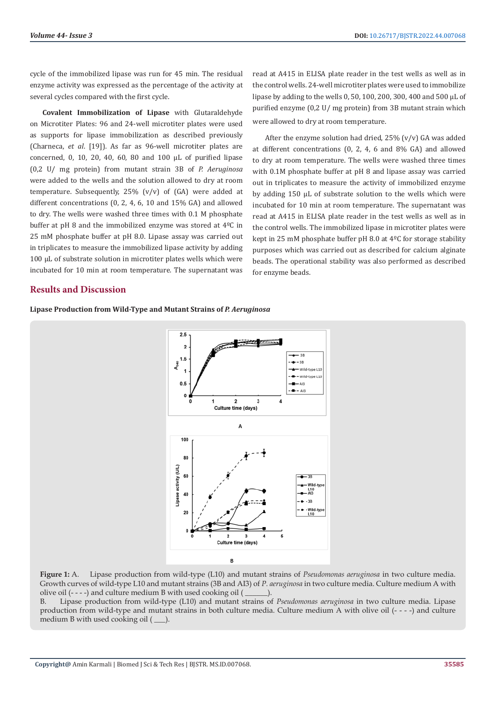cycle of the immobilized lipase was run for 45 min. The residual enzyme activity was expressed as the percentage of the activity at several cycles compared with the first cycle.

**Covalent Immobilization of Lipase** with Glutaraldehyde on Microtiter Plates: 96 and 24-well microtiter plates were used as supports for lipase immobilization as described previously (Charneca, *et al*. [19]). As far as 96-well microtiter plates are concerned, 0, 10, 20, 40, 60, 80 and 100 μL of purified lipase (0,2 U/ mg protein) from mutant strain 3B of *P. Aeruginosa* were added to the wells and the solution allowed to dry at room temperature. Subsequently,  $25\%$  (v/v) of (GA) were added at different concentrations (0, 2, 4, 6, 10 and 15% GA) and allowed to dry. The wells were washed three times with 0.1 M phosphate buffer at pH 8 and the immobilized enzyme was stored at 4ºC in 25 mM phosphate buffer at pH 8.0. Lipase assay was carried out in triplicates to measure the immobilized lipase activity by adding 100 μL of substrate solution in microtiter plates wells which were incubated for 10 min at room temperature. The supernatant was

## **Results and Discussion**

read at A415 in ELISA plate reader in the test wells as well as in the control wells. 24-well microtiter plates were used to immobilize lipase by adding to the wells 0, 50, 100, 200, 300, 400 and 500 μL of purified enzyme (0,2 U/ mg protein) from 3B mutant strain which were allowed to dry at room temperature.

After the enzyme solution had dried,  $25\%$  (v/v) GA was added at different concentrations (0, 2, 4, 6 and 8% GA) and allowed to dry at room temperature. The wells were washed three times with 0.1M phosphate buffer at pH 8 and lipase assay was carried out in triplicates to measure the activity of immobilized enzyme by adding 150 μL of substrate solution to the wells which were incubated for 10 min at room temperature. The supernatant was read at A415 in ELISA plate reader in the test wells as well as in the control wells. The immobilized lipase in microtiter plates were kept in 25 mM phosphate buffer pH 8.0 at 4ºC for storage stability purposes which was carried out as described for calcium alginate beads. The operational stability was also performed as described for enzyme beads.

**Lipase Production from Wild-Type and Mutant Strains of** *P. Aeruginosa*



**Figure 1:** A. Lipase production from wild-type (L10) and mutant strains of *Pseudomonas aeruginosa* in two culture media. Growth curves of wild-type L10 and mutant strains (3B and AI3) of *P. aeruginosa* in two culture media. Culture medium A with olive oil (- - - -) and culture medium B with used cooking oil ( \_\_\_\_\_\_).

B. Lipase production from wild-type (L10) and mutant strains of *Pseudomonas aeruginosa* in two culture media. Lipase production from wild-type and mutant strains in both culture media. Culture medium A with olive oil (- - - -) and culture medium B with used cooking oil  $($   $)$ .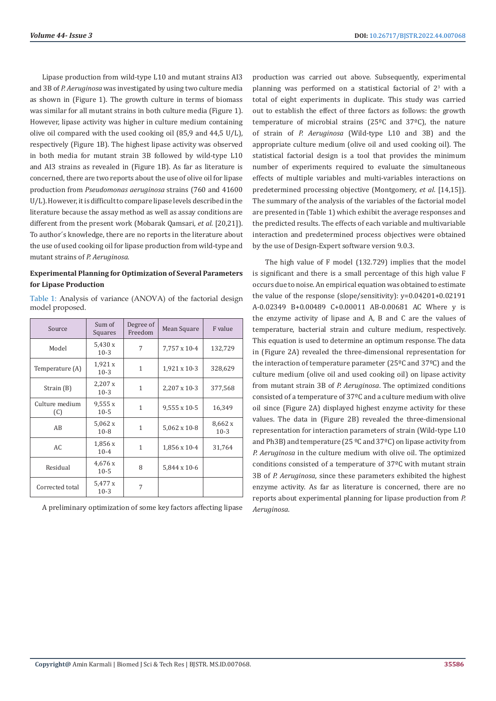Lipase production from wild-type L10 and mutant strains AI3 and 3B of *P. Aeruginosa* was investigated by using two culture media as shown in (Figure 1). The growth culture in terms of biomass was similar for all mutant strains in both culture media (Figure 1). However, lipase activity was higher in culture medium containing olive oil compared with the used cooking oil (85,9 and 44,5 U/L), respectively (Figure 1B). The highest lipase activity was observed in both media for mutant strain 3B followed by wild-type L10 and AI3 strains as revealed in (Figure 1B). As far as literature is concerned, there are two reports about the use of olive oil for lipase production from *Pseudomonas aeruginosa* strains (760 and 41600 U/L). However, it is difficult to compare lipase levels described in the literature because the assay method as well as assay conditions are different from the present work (Mobarak Qamsari, *et al*. [20,21]). To author´s knowledge, there are no reports in the literature about the use of used cooking oil for lipase production from wild-type and mutant strains of *P. Aeruginosa*.

# **Experimental Planning for Optimization of Several Parameters for Lipase Production**

Table 1: Analysis of variance (ANOVA) of the factorial design model proposed.

| Source                | Sum of<br>Squares           | Degree of<br>Freedom | Mean Square  | F value           |
|-----------------------|-----------------------------|----------------------|--------------|-------------------|
| Model                 | 5,430 x<br>$10-3$           | 7                    | 7,757 x 10-4 | 132,729           |
| Temperature (A)       | 1,921x<br>$10-3$            | $\mathbf{1}$         | 1,921 x 10-3 | 328,629           |
| Strain $(B)$          | 2,207x<br>$10-3$            | $\mathbf{1}$         | 2,207 x 10-3 | 377,568           |
| Culture medium<br>(C) | 9,555x<br>$10-5$            | $\mathbf{1}$         | 9,555 x 10-5 | 16,349            |
| AB                    | $5,062 \text{ x}$<br>$10-8$ | $\mathbf{1}$         | 5,062 x 10-8 | 8,662 x<br>$10-3$ |
| AC.                   | 1,856x<br>$10 - 4$          | $\mathbf{1}$         | 1,856 x 10-4 | 31,764            |
| Residual              | 4,676 x<br>$10-5$           | 8                    | 5,844 x 10-6 |                   |
| Corrected total       | 5,477 x<br>$10-3$           | 7                    |              |                   |

A preliminary optimization of some key factors affecting lipase

production was carried out above. Subsequently, experimental planning was performed on a statistical factorial of  $2<sup>3</sup>$  with a total of eight experiments in duplicate. This study was carried out to establish the effect of three factors as follows: the growth temperature of microbial strains (25ºC and 37ºC), the nature of strain of *P. Aeruginosa* (Wild-type L10 and 3B) and the appropriate culture medium (olive oil and used cooking oil). The statistical factorial design is a tool that provides the minimum number of experiments required to evaluate the simultaneous effects of multiple variables and multi-variables interactions on predetermined processing objective (Montgomery, *et al*. [14,15]). The summary of the analysis of the variables of the factorial model are presented in (Table 1) which exhibit the average responses and the predicted results. The effects of each variable and multivariable interaction and predetermined process objectives were obtained by the use of Design-Expert software version 9.0.3.

The high value of F model (132.729) implies that the model is significant and there is a small percentage of this high value F occurs due to noise. An empirical equation was obtained to estimate the value of the response (slope/sensitivity): y=0.04201+0.02191 A-0.02349 B+0.00489 C+0.00011 AB-0.00681 AC Where y is the enzyme activity of lipase and A, B and C are the values of temperature, bacterial strain and culture medium, respectively. This equation is used to determine an optimum response. The data in (Figure 2A) revealed the three-dimensional representation for the interaction of temperature parameter (25ºC and 37ºC) and the culture medium (olive oil and used cooking oil) on lipase activity from mutant strain 3B of *P. Aeruginosa*. The optimized conditions consisted of a temperature of 37ºC and a culture medium with olive oil since (Figure 2A) displayed highest enzyme activity for these values. The data in (Figure 2B) revealed the three-dimensional representation for interaction parameters of strain (Wild-type L10 and Ph3B) and temperature (25  $\degree$ C and 37 $\degree$ C) on lipase activity from *P. Aeruginosa* in the culture medium with olive oil. The optimized conditions consisted of a temperature of 37ºC with mutant strain 3B of *P. Aeruginosa*, since these parameters exhibited the highest enzyme activity. As far as literature is concerned, there are no reports about experimental planning for lipase production from *P. Aeruginosa*.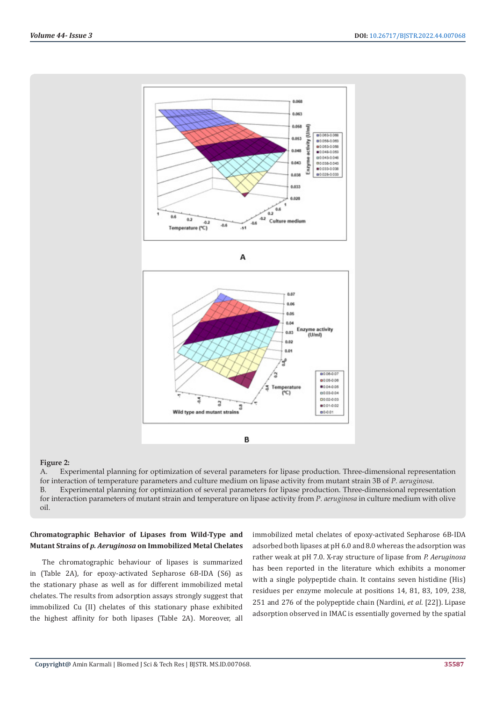

#### **Figure 2:**

A. Experimental planning for optimization of several parameters for lipase production. Three-dimensional representation for interaction of temperature parameters and culture medium on lipase activity from mutant strain 3B of *P. aeruginosa*. B. Experimental planning for optimization of several parameters for lipase production. Three-dimensional representation for interaction parameters of mutant strain and temperature on lipase activity from *P. aeruginosa* in culture medium with olive oil.

# **Chromatographic Behavior of Lipases from Wild-Type and Mutant Strains of** *p. Aeruginosa* **on Immobilized Metal Chelates**

The chromatographic behaviour of lipases is summarized in (Table 2A), for epoxy-activated Sepharose 6B-IDA (S6) as the stationary phase as well as for different immobilized metal chelates. The results from adsorption assays strongly suggest that immobilized Cu (II) chelates of this stationary phase exhibited the highest affinity for both lipases (Table 2A). Moreover, all

immobilized metal chelates of epoxy-activated Sepharose 6B-IDA adsorbed both lipases at pH 6.0 and 8.0 whereas the adsorption was rather weak at pH 7.0. X-ray structure of lipase from *P. Aeruginosa* has been reported in the literature which exhibits a monomer with a single polypeptide chain. It contains seven histidine (His) residues per enzyme molecule at positions 14, 81, 83, 109, 238, 251 and 276 of the polypeptide chain (Nardini, *et al*. [22]). Lipase adsorption observed in IMAC is essentially governed by the spatial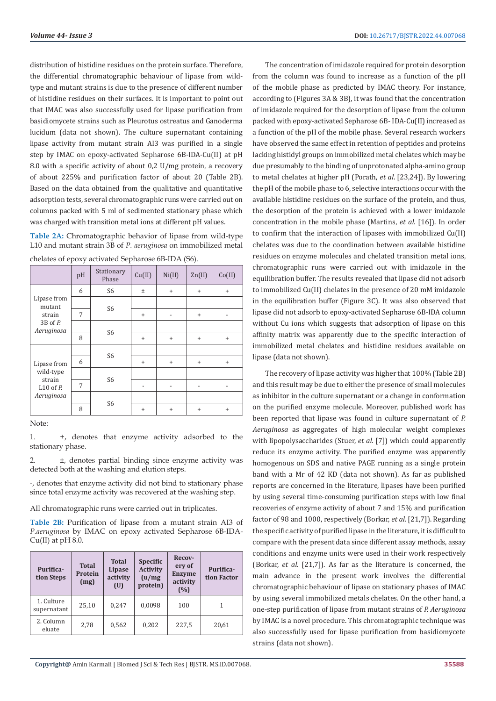distribution of histidine residues on the protein surface. Therefore, the differential chromatographic behaviour of lipase from wildtype and mutant strains is due to the presence of different number of histidine residues on their surfaces. It is important to point out that IMAC was also successfully used for lipase purification from basidiomycete strains such as Pleurotus ostreatus and Ganoderma lucidum (data not shown). The culture supernatant containing lipase activity from mutant strain AI3 was purified in a single step by IMAC on epoxy-activated Sepharose 6B-IDA-Cu(II) at pH 8.0 with a specific activity of about 0,2 U/mg protein, a recovery of about 225% and purification factor of about 20 (Table 2B). Based on the data obtained from the qualitative and quantitative adsorption tests, several chromatographic runs were carried out on columns packed with 5 ml of sedimented stationary phase which was charged with transition metal ions at different pH values.

**Table 2A:** Chromatographic behavior of lipase from wild-type L10 and mutant strain 3B of *P. aeruginosa* on immobilized metal

|                                                                    | pH | Stationary<br>Phase | Cu(II)    | Ni(II)                       | $\text{Zn(II)}$          | Co(II)                   |
|--------------------------------------------------------------------|----|---------------------|-----------|------------------------------|--------------------------|--------------------------|
| Lipase from<br>mutant<br>strain<br>$3B$ of $P$ .<br>Aeruginosa     | 6  | S <sub>6</sub>      | Ŧ         | $\ddot{}$                    | $\ddot{}$                | $\ddot{}$                |
|                                                                    |    | S <sub>6</sub>      |           |                              |                          |                          |
|                                                                    | 7  |                     | $\ddot{}$ | $\qquad \qquad \blacksquare$ | $\ddot{}$                |                          |
|                                                                    |    | S <sub>6</sub>      |           |                              |                          |                          |
|                                                                    | 8  |                     | $\ddot{}$ | $\ddot{}$                    | $\ddot{}$                | $+$                      |
| Lipase from<br>wild-type<br>strain<br>$L10$ of $P$ .<br>Aeruginosa |    |                     |           |                              |                          |                          |
|                                                                    | 6  | S <sub>6</sub>      | $\ddot{}$ | $\ddot{}$                    | $\ddot{}$                | $+$                      |
|                                                                    |    |                     |           |                              |                          |                          |
|                                                                    | 7  | S <sub>6</sub>      |           | $\overline{\phantom{a}}$     | $\overline{\phantom{0}}$ | $\overline{\phantom{a}}$ |
|                                                                    |    | S <sub>6</sub>      |           |                              |                          |                          |
|                                                                    | 8  |                     | $\ddot{}$ | $\ddot{}$                    | $\ddot{}$                | $\ddot{}$                |

chelates of epoxy activated Sepharose 6B-IDA (S6).

#### Note:

1. +, denotes that enzyme activity adsorbed to the stationary phase.

2. ±, denotes partial binding since enzyme activity was detected both at the washing and elution steps.

-, denotes that enzyme activity did not bind to stationary phase since total enzyme activity was recovered at the washing step.

All chromatographic runs were carried out in triplicates.

**Table 2B:** Purification of lipase from a mutant strain AI3 of *P.aeruginosa* by IMAC on epoxy activated Sepharose 6B-IDA- $Cu(II)$  at pH 8.0.

| Purifica-<br>tion Steps   | <b>Total</b><br>Protein<br>(mg) | <b>Total</b><br>Lipase<br>activity<br>(U) | <b>Specific</b><br><b>Activity</b><br>(u/mg)<br>protein) | Recov-<br>ery of<br><b>Enzyme</b><br>activity<br>(%) | Purifica-<br>tion Factor |
|---------------------------|---------------------------------|-------------------------------------------|----------------------------------------------------------|------------------------------------------------------|--------------------------|
| 1. Culture<br>supernatant | 25,10                           | 0,247                                     | 0,0098                                                   | 100                                                  | 1                        |
| 2. Column<br>eluate       | 2,78                            | 0,562                                     | 0,202                                                    | 227,5                                                | 20,61                    |

The concentration of imidazole required for protein desorption from the column was found to increase as a function of the pH of the mobile phase as predicted by IMAC theory. For instance, according to (Figures 3A & 3B), it was found that the concentration of imidazole required for the desorption of lipase from the column packed with epoxy-activated Sepharose 6B- IDA-Cu(II) increased as a function of the pH of the mobile phase. Several research workers have observed the same effect in retention of peptides and proteins lacking histidyl groups on immobilized metal chelates which may be due presumably to the binding of unprotonated alpha-amino group to metal chelates at higher pH (Porath, *et al*. [23,24]). By lowering the pH of the mobile phase to 6, selective interactions occur with the available histidine residues on the surface of the protein, and thus, the desorption of the protein is achieved with a lower imidazole concentration in the mobile phase (Martins, *et al*. [16]). In order to confirm that the interaction of lipases with immobilized Cu(II) chelates was due to the coordination between available histidine residues on enzyme molecules and chelated transition metal ions, chromatographic runs were carried out with imidazole in the equilibration buffer. The results revealed that lipase did not adsorb to immobilized Cu(II) chelates in the presence of 20 mM imidazole in the equilibration buffer (Figure 3C). It was also observed that lipase did not adsorb to epoxy-activated Sepharose 6B-IDA column without Cu ions which suggests that adsorption of lipase on this affinity matrix was apparently due to the specific interaction of immobilized metal chelates and histidine residues available on lipase (data not shown).

The recovery of lipase activity was higher that 100% (Table 2B) and this result may be due to either the presence of small molecules as inhibitor in the culture supernatant or a change in conformation on the purified enzyme molecule. Moreover, published work has been reported that lipase was found in culture supernatant of *P. Aeruginosa* as aggregates of high molecular weight complexes with lipopolysaccharides (Stuer, *et al*. [7]) which could apparently reduce its enzyme activity. The purified enzyme was apparently homogenous on SDS and native PAGE running as a single protein band with a Mr of 42 KD (data not shown). As far as published reports are concerned in the literature, lipases have been purified by using several time-consuming purification steps with low final recoveries of enzyme activity of about 7 and 15% and purification factor of 98 and 1000, respectively (Borkar, *et al*. [21,7]). Regarding the specific activity of purified lipase in the literature, it is difficult to compare with the present data since different assay methods, assay conditions and enzyme units were used in their work respectively (Borkar, *et al*. [21,7]). As far as the literature is concerned, the main advance in the present work involves the differential chromatographic behaviour of lipase on stationary phases of IMAC by using several immobilized metals chelates. On the other hand, a one-step purification of lipase from mutant strains of *P. Aeruginosa* by IMAC is a novel procedure. This chromatographic technique was also successfully used for lipase purification from basidiomycete strains (data not shown).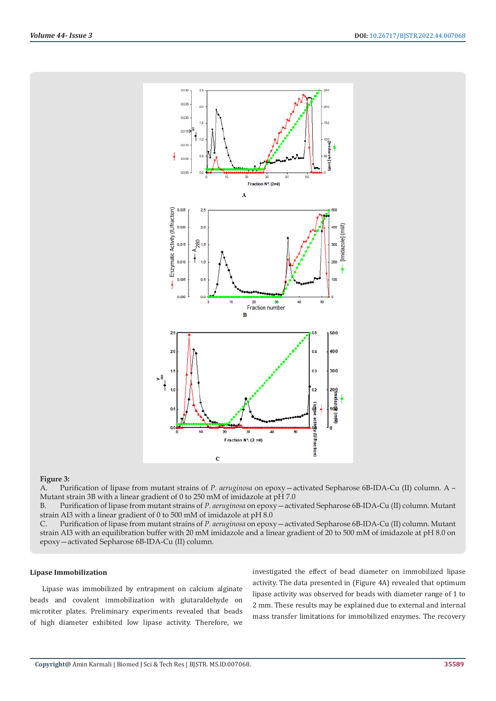

#### **Figure 3:**

A. Purification of lipase from mutant strains of *P. aeruginosa* on epoxy—activated Sepharose 6B-IDA-Cu (II) column. A – Mutant strain 3B with a linear gradient of 0 to 250 mM of imidazole at pH 7.0

B. Purification of lipase from mutant strains of *P. aeruginosa* on epoxy—activated Sepharose 6B-IDA-Cu (II) column. Mutant strain AI3 with a linear gradient of 0 to 500 mM of imidazole at pH 8.0

C. Purification of lipase from mutant strains of *P. aeruginosa* on epoxy—activated Sepharose 6B-IDA-Cu (II) column. Mutant strain AI3 with an equilibration buffer with 20 mM imidazole and a linear gradient of 20 to 500 mM of imidazole at pH 8.0 on epoxy—activated Sepharose 6B-IDA-Cu (II) column.

#### **Lipase Immobilization**

Lipase was immobilized by entrapment on calcium alginate beads and covalent immobilization with glutaraldehyde on microtiter plates. Preliminary experiments revealed that beads of high diameter exhibited low lipase activity. Therefore, we

investigated the effect of bead diameter on immobilized lipase activity. The data presented in (Figure 4A) revealed that optimum lipase activity was observed for beads with diameter range of 1 to 2 mm. These results may be explained due to external and internal mass transfer limitations for immobilized enzymes. The recovery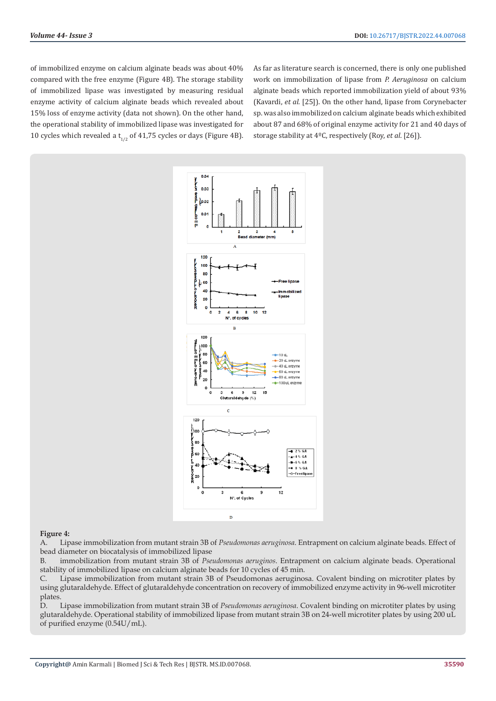of immobilized enzyme on calcium alginate beads was about 40% compared with the free enzyme (Figure 4B). The storage stability of immobilized lipase was investigated by measuring residual enzyme activity of calcium alginate beads which revealed about 15% loss of enzyme activity (data not shown). On the other hand, the operational stability of immobilized lipase was investigated for 10 cycles which revealed a  $t_{1/2}$  of 41,75 cycles or days (Figure 4B).

As far as literature search is concerned, there is only one published work on immobilization of lipase from *P. Aeruginosa* on calcium alginate beads which reported immobilization yield of about 93% (Kavardi, *et al*. [25]). On the other hand, lipase from Corynebacter sp. was also immobilized on calcium alginate beads which exhibited about 87 and 68% of original enzyme activity for 21 and 40 days of storage stability at 4ºC, respectively (Roy, *et al*. [26]).



#### **Figure 4:**

A. Lipase immobilization from mutant strain 3B of *Pseudomonas aeruginosa*. Entrapment on calcium alginate beads. Effect of bead diameter on biocatalysis of immobilized lipase

B. immobilization from mutant strain 3B of *Pseudomonas aeruginos*. Entrapment on calcium alginate beads. Operational stability of immobilized lipase on calcium alginate beads for 10 cycles of 45 min.

C. Lipase immobilization from mutant strain 3B of Pseudomonas aeruginosa. Covalent binding on microtiter plates by using glutaraldehyde. Effect of glutaraldehyde concentration on recovery of immobilized enzyme activity in 96-well microtiter plates.

D. Lipase immobilization from mutant strain 3B of *Pseudomonas aeruginosa*. Covalent binding on microtiter plates by using glutaraldehyde. Operational stability of immobilized lipase from mutant strain 3B on 24-well microtiter plates by using 200 uL of purified enzyme (0.54U/mL).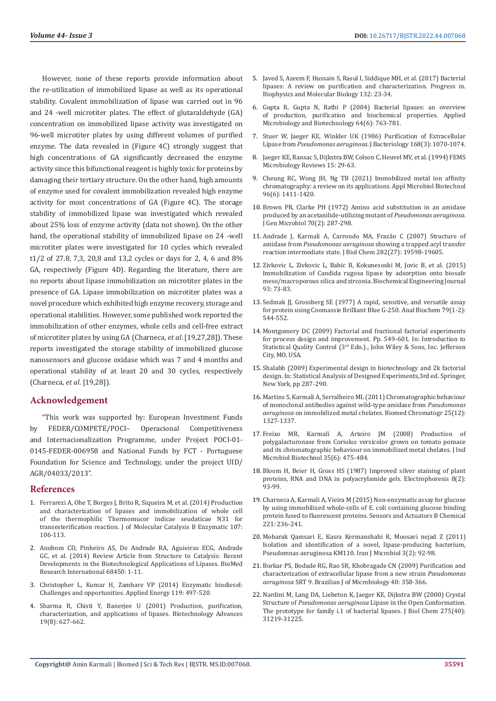However, none of these reports provide information about the re-utilization of immobilized lipase as well as its operational stability. Covalent immobilization of lipase was carried out in 96 and 24 -well microtiter plates. The effect of glutaraldehyde (GA) concentration on immobilized lipase activity was investigated on 96-well microtiter plates by using different volumes of purified enzyme. The data revealed in (Figure 4C) strongly suggest that high concentrations of GA significantly decreased the enzyme activity since this bifunctional reagent is highly toxic for proteins by damaging their tertiary structure. On the other hand, high amounts of enzyme used for covalent immobilization revealed high enzyme activity for most concentrations of GA (Figure 4C). The storage stability of immobilized lipase was investigated which revealed about 25% loss of enzyme activity (data not shown). On the other hand, the operational stability of immobilized lipase on 24 -well microtiter plates were investigated for 10 cycles which revealed t1/2 of 27.8, 7,3, 20,8 and 13,2 cycles or days for 2, 4, 6 and 8% GA, respectively (Figure 4D). Regarding the literature, there are no reports about lipase immobilization on microtiter plates in the presence of GA. Lipase immobilization on microtiter plates was a novel procedure which exhibited high enzyme recovery, storage and operational stabilities. However, some published work reported the immobilization of other enzymes, whole cells and cell-free extract of microtiter plates by using GA (Charneca, *et al*. [19,27,28]). These reports investigated the storage stability of immobilized glucose nanosensors and glucose oxidase which was 7 and 4 months and operational stability of at least 20 and 30 cycles, respectively (Charneca, *et al*. [19,28]).

# **Acknowledgement**

"This work was supported by: European Investment Funds by FEDER/COMPETE/POCI– Operacional Competitiveness and Internacionalization Programme, under Project POCI-01- 0145-FEDER-006958 and National Funds by FCT - Portuguese Foundation for Science and Technology, under the project UID/ AGR/04033/2013".

# **References**

- 1. [Ferrarezi A, Ohe T, Borges J, Brito R, Siqueira M, et al.](https://www.sciencedirect.com/science/article/abs/pii/S1381117714001623) (2014) Production [and characterization of lipases and immobilization of whole cell](https://www.sciencedirect.com/science/article/abs/pii/S1381117714001623)  [of the thermophilic Thermomucor indicae seudaticae N31 for](https://www.sciencedirect.com/science/article/abs/pii/S1381117714001623)  [transesterification reaction. J of Molecular Catalysis B Enzymatic 107:](https://www.sciencedirect.com/science/article/abs/pii/S1381117714001623)  [106-113.](https://www.sciencedirect.com/science/article/abs/pii/S1381117714001623)
- 2. [Anobom CD, Pinheiro AS, De Andrade RA, Aguieiras ECG, Andrade](https://downloads.hindawi.com/journals/bmri/2014/684506.pdf)  [GC, et al. \(2014\) Review Article from Structure to Catalysis: Recent](https://downloads.hindawi.com/journals/bmri/2014/684506.pdf)  [Developments in the Biotechnological Applications of Lipases. BioMed](https://downloads.hindawi.com/journals/bmri/2014/684506.pdf)  [Research International 68450: 1-11.](https://downloads.hindawi.com/journals/bmri/2014/684506.pdf)
- 3. [Christopher L, Kumar H, Zambare VP \(2014\) Enzymatic biodiesel:](https://www.sciencedirect.com/science/article/abs/pii/S0306261914000361)  [Challenges and opportunities. Applied Energy 119: 497-520.](https://www.sciencedirect.com/science/article/abs/pii/S0306261914000361)
- 4. [Sharma R, Chisti Y, Banerjee U \(2001\) Production, purification,](https://www.sciencedirect.com/science/article/abs/pii/S0734975001000866)  [characterization, and applications of lipases. Biotechnology Advances](https://www.sciencedirect.com/science/article/abs/pii/S0734975001000866)  [19\(8\): 627-662.](https://www.sciencedirect.com/science/article/abs/pii/S0734975001000866)
- 5. [Javed S, Azeem F, Hussain S, Rasul I, Siddique MH, et al. \(2017\) Bacterial](https://pubmed.ncbi.nlm.nih.gov/28774751/) [lipases: A review on purification and characterization. Progress in.](https://pubmed.ncbi.nlm.nih.gov/28774751/) [Biophysics and Molecular Biology 132: 23-34.](https://pubmed.ncbi.nlm.nih.gov/28774751/)
- 6. [Gupta R, Gupta N, Rathi P \(2004\) Bacterial lipases: an overview](https://pubmed.ncbi.nlm.nih.gov/14966663/) [of production, purification and biochemical properties. Applied](https://pubmed.ncbi.nlm.nih.gov/14966663/) [Microbiology and Biotechnology 64\(6\): 763-781.](https://pubmed.ncbi.nlm.nih.gov/14966663/)
- 7. [Stuer W, Jaeger KE, Winkler UK \(1986\) Purification of Extracellular](https://pubmed.ncbi.nlm.nih.gov/3096967/) Lipase from *Pseudomonas aeruginosa*[. J Bacteriology 168\(3\): 1070-1074.](https://pubmed.ncbi.nlm.nih.gov/3096967/)
- 8. Jaeger KE, Ransac S, Dijkstra BW, Colson C, Heuvel MV, et al. (1994) FEMS Microbiology Reviews 15: 29-63.
- 9. [Cheung RC, Wong JH, Ng TB \(2021\) Immobilized metal ion affinity](https://pubmed.ncbi.nlm.nih.gov/23099912/) [chromatography: a review on its applications. Appl Microbiol Biotechnol](https://pubmed.ncbi.nlm.nih.gov/23099912/) [96\(6\): 1411-1420.](https://pubmed.ncbi.nlm.nih.gov/23099912/)
- 10. [Brown PR, Clarke PH \(1972\) Amino acid substitution in an amidase](https://www.microbiologyresearch.org/content/journal/micro/10.1099/00221287-70-2-287) [produced by an acetanilide-utilizing mutant of](https://www.microbiologyresearch.org/content/journal/micro/10.1099/00221287-70-2-287) *Pseudomonas aeruginosa*. [J Gen Microbiol 70\(2\): 287-298.](https://www.microbiologyresearch.org/content/journal/micro/10.1099/00221287-70-2-287)
- 11. [Andrade J, Karmali A, Carrondo MA, Frazão C \(2007\) Structure of](https://www.sciencedirect.com/science/article/pii/S0021925817473406) amidase from *Pseudomonas aeruginosa* [showing a trapped acyl transfer](https://www.sciencedirect.com/science/article/pii/S0021925817473406) [reaction intermediate state. J Biol Chem 282\(27\): 19598-19605.](https://www.sciencedirect.com/science/article/pii/S0021925817473406)
- 12. [Zivkovic L, Zivkovic L, Babic B, Kokunesoski M, Jovic B, et al. \(2015\)](https://www.sciencedirect.com/science/article/abs/pii/S1369703X14002794) [Immobilization of Candida rugosa lipase by adsorption onto biosafe](https://www.sciencedirect.com/science/article/abs/pii/S1369703X14002794) [meso/macroporous silica and zirconia. Biochemical Engineering Journal](https://www.sciencedirect.com/science/article/abs/pii/S1369703X14002794) [93: 73-83.](https://www.sciencedirect.com/science/article/abs/pii/S1369703X14002794)
- 13. [Sedmak JJ, Grossberg SE \(1977\) A rapid, sensitive, and versatile assay](https://www.sciencedirect.com/science/article/abs/pii/0003269777904286) [for protein using Coomassie Brilliant Blue G-250. Anal Biochem 79\(1-2\):](https://www.sciencedirect.com/science/article/abs/pii/0003269777904286) [544-552.](https://www.sciencedirect.com/science/article/abs/pii/0003269777904286)
- 14. [Montgomery DC \(2009\) Factorial and fractional factorial experiments](https://studylib.net/doc/8817855/factorial-and-fractional-factorial-experiments-for-proces...) [for process design and improvement. Pp. 549-601. In: Introduction to](https://studylib.net/doc/8817855/factorial-and-fractional-factorial-experiments-for-proces...) [Statistical Quality Control \(3rd Edn.\)., John Wiley & Sons, Inc. Jefferson](https://studylib.net/doc/8817855/factorial-and-fractional-factorial-experiments-for-proces...) [City, MO, USA.](https://studylib.net/doc/8817855/factorial-and-fractional-factorial-experiments-for-proces...)
- 15. Shalabh (2009) Experimental design in biotechnology and 2k factorial design. In: Statistical Analysis of Designed Experiments,3rd ed. Springer, New York, pp 287-290.
- 16. [Martins S, Karmali A, Serralheiro ML \(2011\) Chromatographic behaviour](https://pubmed.ncbi.nlm.nih.gov/21337355/) [of monoclonal antibodies against wild-type amidase from](https://pubmed.ncbi.nlm.nih.gov/21337355/) *Pseudomonas aeruginosa* [on immobilized metal chelates. Biomed Chromatogr 25\(12\):](https://pubmed.ncbi.nlm.nih.gov/21337355/) [1327-1337.](https://pubmed.ncbi.nlm.nih.gov/21337355/)
- 17. [Freixo MR, Karmali A, Arteiro JM \(2008\) Production of](https://pubmed.ncbi.nlm.nih.gov/18253772/) [polygalacturonase from Coriolus versicolor grown on tomato pomace](https://pubmed.ncbi.nlm.nih.gov/18253772/) [and its chromatographic behaviour on immobilized metal chelates. J Ind](https://pubmed.ncbi.nlm.nih.gov/18253772/) [Microbiol Biotechnol 35\(6\): 475-484.](https://pubmed.ncbi.nlm.nih.gov/18253772/)
- 18. [Bloom H, Beier H, Gross HS \(1987\) Improved silver staining of plant](https://analyticalsciencejournals.onlinelibrary.wiley.com/doi/10.1002/elps.1150080203) [proteins, RNA and DNA in polyacrylamide gels. Electrophoresis 8\(2\):](https://analyticalsciencejournals.onlinelibrary.wiley.com/doi/10.1002/elps.1150080203) [93-99.](https://analyticalsciencejournals.onlinelibrary.wiley.com/doi/10.1002/elps.1150080203)
- 19. [Charneca A, Karmali A, Vieira M \(2015\) Non-enzymatic assay for glucose](https://www.sciencedirect.com/science/article/abs/pii/S0925400515008126) [by using immobilized whole-cells of E. coli containing glucose binding](https://www.sciencedirect.com/science/article/abs/pii/S0925400515008126) [protein fused to fluorescent proteins. Sensors and Actuators B Chemical](https://www.sciencedirect.com/science/article/abs/pii/S0925400515008126) [221: 236-241.](https://www.sciencedirect.com/science/article/abs/pii/S0925400515008126)
- 20. [Mobarak Qamsari E, Kasra Kermanshahi R, Moosavi nejad Z \(2011\)](https://pubmed.ncbi.nlm.nih.gov/22347589/) [Isolation and identification of a novel, lipase-producing bacterium,](https://pubmed.ncbi.nlm.nih.gov/22347589/) [Pseudomnas aeruginosa KM110. Iran J Microbiol 3\(2\): 92-98.](https://pubmed.ncbi.nlm.nih.gov/22347589/)
- 21. [Borkar PS, Bodade RG, Rao SR, Khobragade CN \(2009\) Purification and](https://pubmed.ncbi.nlm.nih.gov/24031373/) [characterization of extracellular lipase from a new strain](https://pubmed.ncbi.nlm.nih.gov/24031373/) *Pseudomonas aeruginosa* [SRT 9. Brazilian J of Microbiology 40: 358-366.](https://pubmed.ncbi.nlm.nih.gov/24031373/)
- 22. [Nardini M, Lang DA, Liebeton K, Jaeger KE, Dijkstra BW \(2000\) Crystal](https://pubmed.ncbi.nlm.nih.gov/10893416/) Structure of *Pseudomonas aeruginosa* [Lipase in the Open Conformation.](https://pubmed.ncbi.nlm.nih.gov/10893416/) [The prototype for family i.1 of bacterial lipases. J Biol Chem 275\(40\):](https://pubmed.ncbi.nlm.nih.gov/10893416/) [31219-31225.](https://pubmed.ncbi.nlm.nih.gov/10893416/)